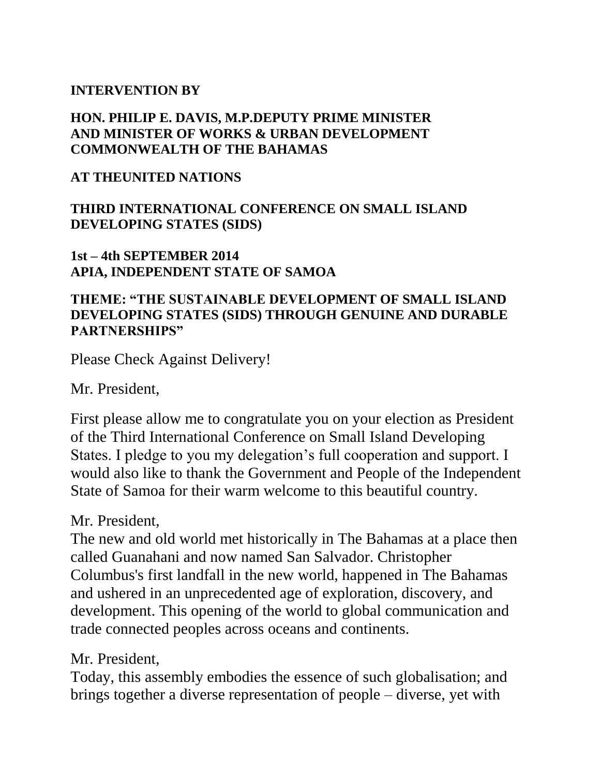#### **INTERVENTION BY**

#### **HON. PHILIP E. DAVIS, M.P.DEPUTY PRIME MINISTER AND MINISTER OF WORKS & URBAN DEVELOPMENT COMMONWEALTH OF THE BAHAMAS**

#### **AT THEUNITED NATIONS**

#### **THIRD INTERNATIONAL CONFERENCE ON SMALL ISLAND DEVELOPING STATES (SIDS)**

#### **1st – 4th SEPTEMBER 2014 APIA, INDEPENDENT STATE OF SAMOA**

#### **THEME: "THE SUSTAINABLE DEVELOPMENT OF SMALL ISLAND DEVELOPING STATES (SIDS) THROUGH GENUINE AND DURABLE PARTNERSHIPS"**

Please Check Against Delivery!

Mr. President,

First please allow me to congratulate you on your election as President of the Third International Conference on Small Island Developing States. I pledge to you my delegation's full cooperation and support. I would also like to thank the Government and People of the Independent State of Samoa for their warm welcome to this beautiful country.

#### Mr. President,

The new and old world met historically in The Bahamas at a place then called Guanahani and now named San Salvador. Christopher Columbus's first landfall in the new world, happened in The Bahamas and ushered in an unprecedented age of exploration, discovery, and development. This opening of the world to global communication and trade connected peoples across oceans and continents.

Mr. President,

Today, this assembly embodies the essence of such globalisation; and brings together a diverse representation of people – diverse, yet with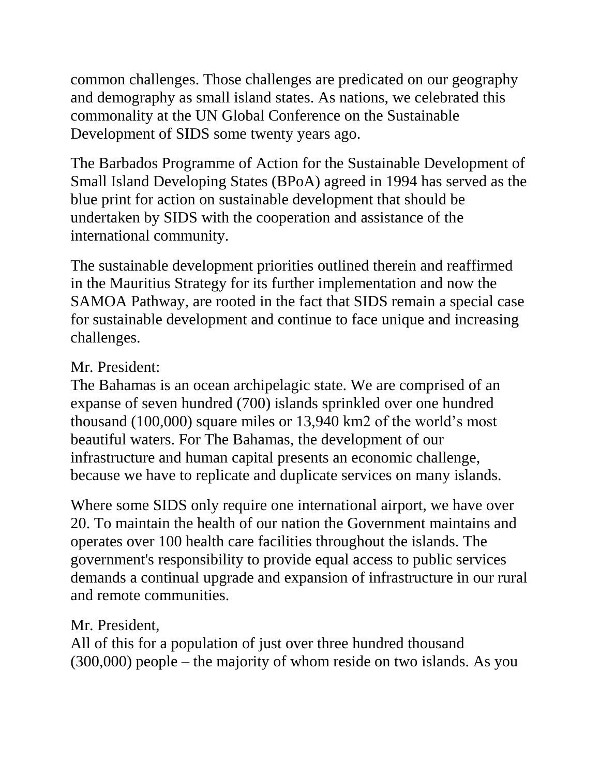common challenges. Those challenges are predicated on our geography and demography as small island states. As nations, we celebrated this commonality at the UN Global Conference on the Sustainable Development of SIDS some twenty years ago.

The Barbados Programme of Action for the Sustainable Development of Small Island Developing States (BPoA) agreed in 1994 has served as the blue print for action on sustainable development that should be undertaken by SIDS with the cooperation and assistance of the international community.

The sustainable development priorities outlined therein and reaffirmed in the Mauritius Strategy for its further implementation and now the SAMOA Pathway, are rooted in the fact that SIDS remain a special case for sustainable development and continue to face unique and increasing challenges.

## Mr. President:

The Bahamas is an ocean archipelagic state. We are comprised of an expanse of seven hundred (700) islands sprinkled over one hundred thousand (100,000) square miles or 13,940 km2 of the world's most beautiful waters. For The Bahamas, the development of our infrastructure and human capital presents an economic challenge, because we have to replicate and duplicate services on many islands.

Where some SIDS only require one international airport, we have over 20. To maintain the health of our nation the Government maintains and operates over 100 health care facilities throughout the islands. The government's responsibility to provide equal access to public services demands a continual upgrade and expansion of infrastructure in our rural and remote communities.

Mr. President,

All of this for a population of just over three hundred thousand (300,000) people – the majority of whom reside on two islands. As you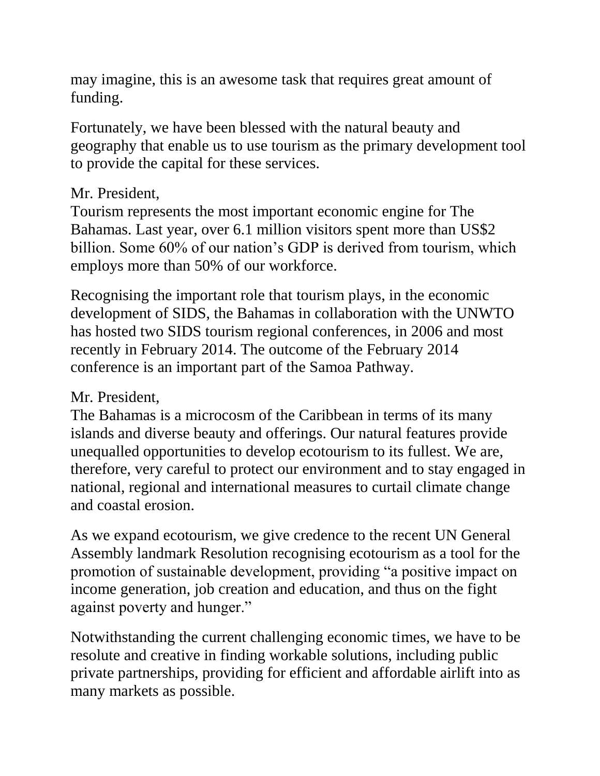may imagine, this is an awesome task that requires great amount of funding.

Fortunately, we have been blessed with the natural beauty and geography that enable us to use tourism as the primary development tool to provide the capital for these services.

### Mr. President,

Tourism represents the most important economic engine for The Bahamas. Last year, over 6.1 million visitors spent more than US\$2 billion. Some 60% of our nation's GDP is derived from tourism, which employs more than 50% of our workforce.

Recognising the important role that tourism plays, in the economic development of SIDS, the Bahamas in collaboration with the UNWTO has hosted two SIDS tourism regional conferences, in 2006 and most recently in February 2014. The outcome of the February 2014 conference is an important part of the Samoa Pathway.

# Mr. President,

The Bahamas is a microcosm of the Caribbean in terms of its many islands and diverse beauty and offerings. Our natural features provide unequalled opportunities to develop ecotourism to its fullest. We are, therefore, very careful to protect our environment and to stay engaged in national, regional and international measures to curtail climate change and coastal erosion.

As we expand ecotourism, we give credence to the recent UN General Assembly landmark Resolution recognising ecotourism as a tool for the promotion of sustainable development, providing "a positive impact on income generation, job creation and education, and thus on the fight against poverty and hunger."

Notwithstanding the current challenging economic times, we have to be resolute and creative in finding workable solutions, including public private partnerships, providing for efficient and affordable airlift into as many markets as possible.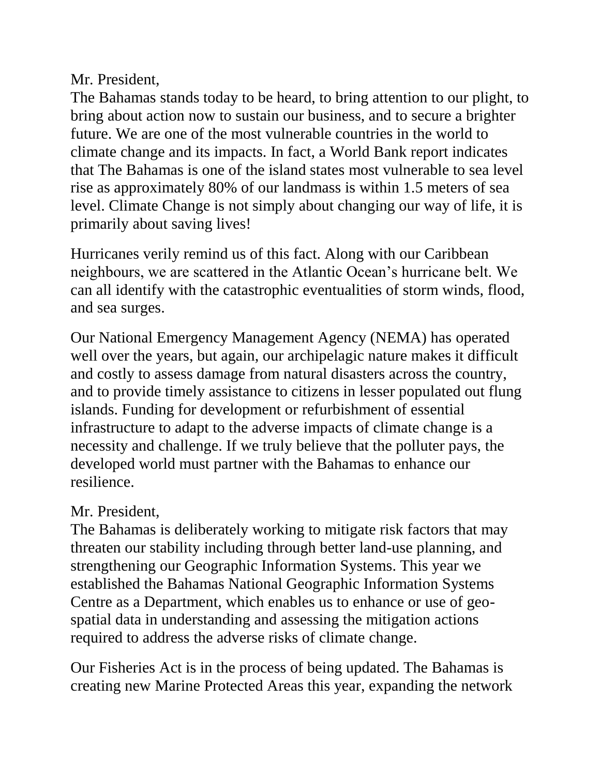### Mr. President,

The Bahamas stands today to be heard, to bring attention to our plight, to bring about action now to sustain our business, and to secure a brighter future. We are one of the most vulnerable countries in the world to climate change and its impacts. In fact, a World Bank report indicates that The Bahamas is one of the island states most vulnerable to sea level rise as approximately 80% of our landmass is within 1.5 meters of sea level. Climate Change is not simply about changing our way of life, it is primarily about saving lives!

Hurricanes verily remind us of this fact. Along with our Caribbean neighbours, we are scattered in the Atlantic Ocean's hurricane belt. We can all identify with the catastrophic eventualities of storm winds, flood, and sea surges.

Our National Emergency Management Agency (NEMA) has operated well over the years, but again, our archipelagic nature makes it difficult and costly to assess damage from natural disasters across the country, and to provide timely assistance to citizens in lesser populated out flung islands. Funding for development or refurbishment of essential infrastructure to adapt to the adverse impacts of climate change is a necessity and challenge. If we truly believe that the polluter pays, the developed world must partner with the Bahamas to enhance our resilience.

# Mr. President,

The Bahamas is deliberately working to mitigate risk factors that may threaten our stability including through better land-use planning, and strengthening our Geographic Information Systems. This year we established the Bahamas National Geographic Information Systems Centre as a Department, which enables us to enhance or use of geospatial data in understanding and assessing the mitigation actions required to address the adverse risks of climate change.

Our Fisheries Act is in the process of being updated. The Bahamas is creating new Marine Protected Areas this year, expanding the network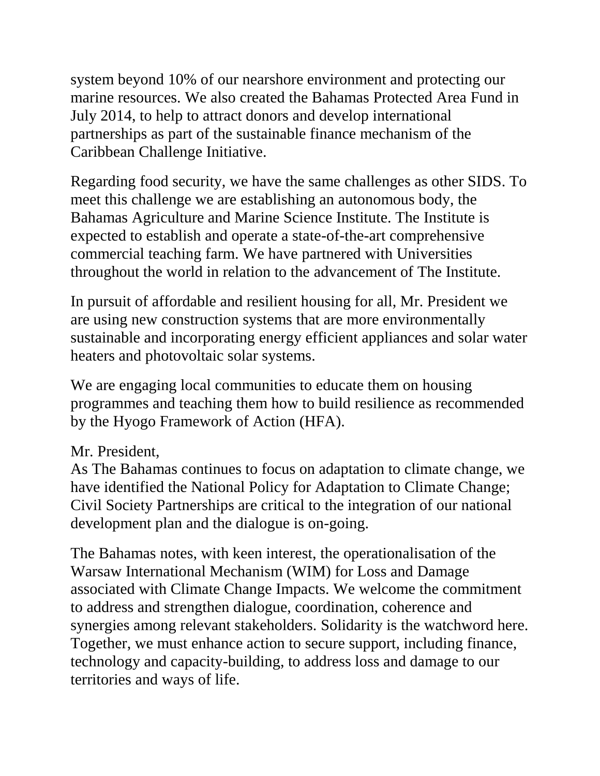system beyond 10% of our nearshore environment and protecting our marine resources. We also created the Bahamas Protected Area Fund in July 2014, to help to attract donors and develop international partnerships as part of the sustainable finance mechanism of the Caribbean Challenge Initiative.

Regarding food security, we have the same challenges as other SIDS. To meet this challenge we are establishing an autonomous body, the Bahamas Agriculture and Marine Science Institute. The Institute is expected to establish and operate a state-of-the-art comprehensive commercial teaching farm. We have partnered with Universities throughout the world in relation to the advancement of The Institute.

In pursuit of affordable and resilient housing for all, Mr. President we are using new construction systems that are more environmentally sustainable and incorporating energy efficient appliances and solar water heaters and photovoltaic solar systems.

We are engaging local communities to educate them on housing programmes and teaching them how to build resilience as recommended by the Hyogo Framework of Action (HFA).

# Mr. President,

As The Bahamas continues to focus on adaptation to climate change, we have identified the National Policy for Adaptation to Climate Change; Civil Society Partnerships are critical to the integration of our national development plan and the dialogue is on-going.

The Bahamas notes, with keen interest, the operationalisation of the Warsaw International Mechanism (WIM) for Loss and Damage associated with Climate Change Impacts. We welcome the commitment to address and strengthen dialogue, coordination, coherence and synergies among relevant stakeholders. Solidarity is the watchword here. Together, we must enhance action to secure support, including finance, technology and capacity-building, to address loss and damage to our territories and ways of life.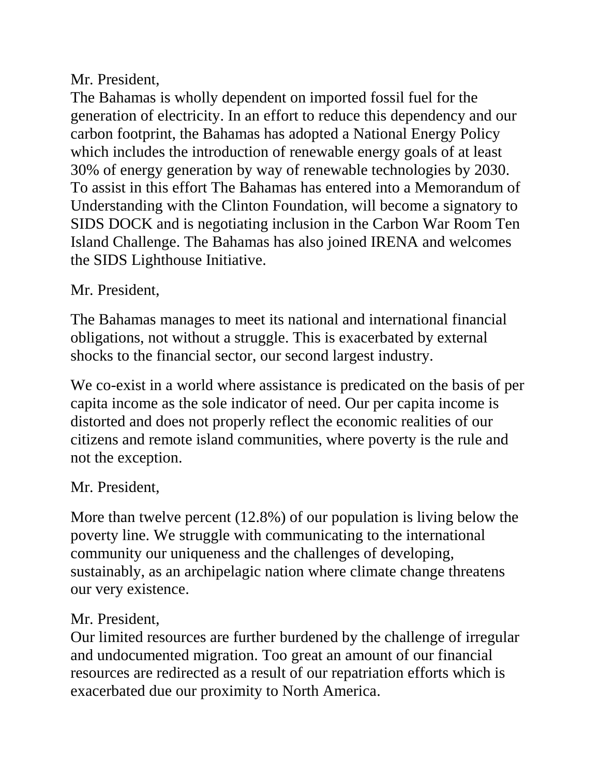## Mr. President,

The Bahamas is wholly dependent on imported fossil fuel for the generation of electricity. In an effort to reduce this dependency and our carbon footprint, the Bahamas has adopted a National Energy Policy which includes the introduction of renewable energy goals of at least 30% of energy generation by way of renewable technologies by 2030. To assist in this effort The Bahamas has entered into a Memorandum of Understanding with the Clinton Foundation, will become a signatory to SIDS DOCK and is negotiating inclusion in the Carbon War Room Ten Island Challenge. The Bahamas has also joined IRENA and welcomes the SIDS Lighthouse Initiative.

## Mr. President,

The Bahamas manages to meet its national and international financial obligations, not without a struggle. This is exacerbated by external shocks to the financial sector, our second largest industry.

We co-exist in a world where assistance is predicated on the basis of per capita income as the sole indicator of need. Our per capita income is distorted and does not properly reflect the economic realities of our citizens and remote island communities, where poverty is the rule and not the exception.

### Mr. President,

More than twelve percent (12.8%) of our population is living below the poverty line. We struggle with communicating to the international community our uniqueness and the challenges of developing, sustainably, as an archipelagic nation where climate change threatens our very existence.

### Mr. President,

Our limited resources are further burdened by the challenge of irregular and undocumented migration. Too great an amount of our financial resources are redirected as a result of our repatriation efforts which is exacerbated due our proximity to North America.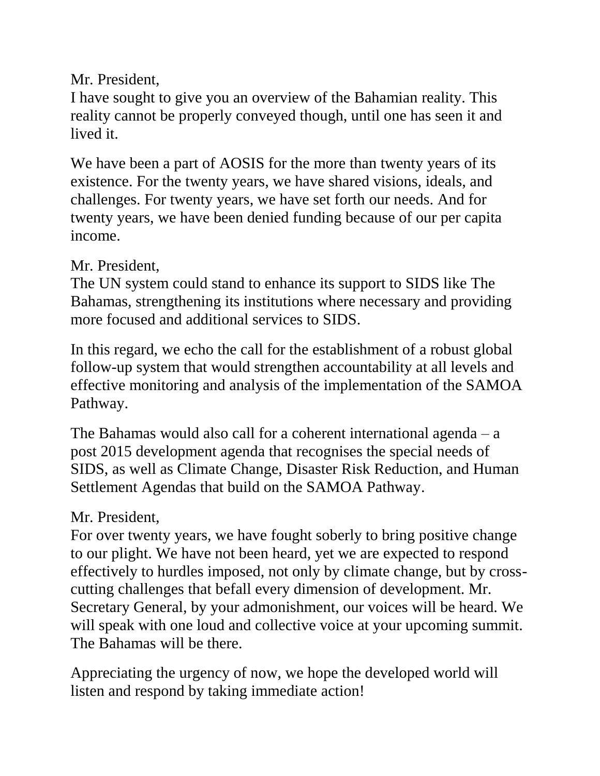# Mr. President,

I have sought to give you an overview of the Bahamian reality. This reality cannot be properly conveyed though, until one has seen it and lived it.

We have been a part of AOSIS for the more than twenty years of its existence. For the twenty years, we have shared visions, ideals, and challenges. For twenty years, we have set forth our needs. And for twenty years, we have been denied funding because of our per capita income.

## Mr. President,

The UN system could stand to enhance its support to SIDS like The Bahamas, strengthening its institutions where necessary and providing more focused and additional services to SIDS.

In this regard, we echo the call for the establishment of a robust global follow-up system that would strengthen accountability at all levels and effective monitoring and analysis of the implementation of the SAMOA Pathway.

The Bahamas would also call for a coherent international agenda  $-$  a post 2015 development agenda that recognises the special needs of SIDS, as well as Climate Change, Disaster Risk Reduction, and Human Settlement Agendas that build on the SAMOA Pathway.

# Mr. President,

For over twenty years, we have fought soberly to bring positive change to our plight. We have not been heard, yet we are expected to respond effectively to hurdles imposed, not only by climate change, but by crosscutting challenges that befall every dimension of development. Mr. Secretary General, by your admonishment, our voices will be heard. We will speak with one loud and collective voice at your upcoming summit. The Bahamas will be there.

Appreciating the urgency of now, we hope the developed world will listen and respond by taking immediate action!